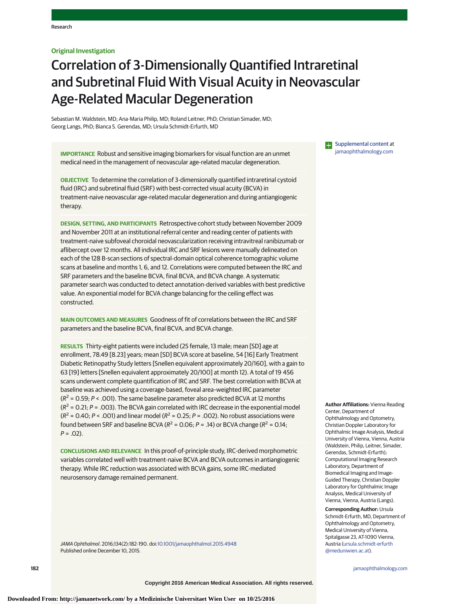## **Original Investigation**

# Correlation of 3-Dimensionally Quantified Intraretinal and Subretinal Fluid With Visual Acuity in Neovascular Age-Related Macular Degeneration

Sebastian M. Waldstein, MD; Ana-Maria Philip, MD; Roland Leitner, PhD; Christian Simader, MD; Georg Langs, PhD; Bianca S. Gerendas, MD; Ursula Schmidt-Erfurth, MD

**IMPORTANCE** Robust and sensitive imaging biomarkers for visual function are an unmet medical need in the management of neovascular age-related macular degeneration.

**OBJECTIVE** To determine the correlation of 3-dimensionally quantified intraretinal cystoid fluid (IRC) and subretinal fluid (SRF) with best-corrected visual acuity (BCVA) in treatment-naive neovascular age-related macular degeneration and during antiangiogenic therapy.

**DESIGN, SETTING, AND PARTICIPANTS** Retrospective cohort study between November 2009 and November 2011 at an institutional referral center and reading center of patients with treatment-naive subfoveal choroidal neovascularization receiving intravitreal ranibizumab or aflibercept over 12 months. All individual IRC and SRF lesions were manually delineated on each of the 128 B-scan sections of spectral-domain optical coherence tomographic volume scans at baseline and months 1, 6, and 12. Correlations were computed between the IRC and SRF parameters and the baseline BCVA, final BCVA, and BCVA change. A systematic parameter search was conducted to detect annotation-derived variables with best predictive value. An exponential model for BCVA change balancing for the ceiling effect was constructed.

**MAIN OUTCOMES AND MEASURES** Goodness of fit of correlations between the IRC and SRF parameters and the baseline BCVA, final BCVA, and BCVA change.

**RESULTS** Thirty-eight patients were included (25 female, 13 male; mean [SD] age at enrollment, 78.49 [8.23] years; mean [SD] BCVA score at baseline, 54 [16] Early Treatment Diabetic Retinopathy Study letters [Snellen equivalent approximately 20/160], with a gain to 63 [19] letters [Snellen equivalent approximately 20/100] at month 12). A total of 19 456 scans underwent complete quantification of IRC and SRF. The best correlation with BCVA at baseline was achieved using a coverage-based, foveal area–weighted IRC parameter  $(R^2 = 0.59; P < .001)$ . The same baseline parameter also predicted BCVA at 12 months  $(R<sup>2</sup> = 0.21; P = .003)$ . The BCVA gain correlated with IRC decrease in the exponential model  $(R^2 = 0.40; P < .001)$  and linear model  $(R^2 = 0.25; P = .002)$ . No robust associations were found between SRF and baseline BCVA ( $R^2$  = 0.06; P = .14) or BCVA change ( $R^2$  = 0.14;  $P = .02$ ).

**CONCLUSIONS AND RELEVANCE** In this proof-of-principle study, IRC-derived morphometric variables correlated well with treatment-naive BCVA and BCVA outcomes in antiangiogenic therapy. While IRC reduction was associated with BCVA gains, some IRC-mediated neurosensory damage remained permanent.

JAMA Ophthalmol. 2016;134(2):182-190. doi[:10.1001/jamaophthalmol.2015.4948](http://jama.jamanetwork.com/article.aspx?doi=10.1001/jamaophthalmol.2015.4948&utm_campaign=articlePDF%26utm_medium=articlePDFlink%26utm_source=articlePDF%26utm_content=jamaophthalmol.2015.4948) Published online December 10, 2015.

**Examplemental content at** [jamaophthalmology.com](http://www.jamaophthalmology.com/?utm_campaign=articlePDF%26utm_medium=articlePDFlink%26utm_source=articlePDF%26utm_content=jamaophthalmol.2015.4948)

**Author Affiliations:** Vienna Reading Center, Department of Ophthalmology and Optometry, Christian Doppler Laboratory for Ophthalmic Image Analysis, Medical University of Vienna, Vienna, Austria (Waldstein, Philip, Leitner, Simader, Gerendas, Schmidt-Erfurth); Computational Imaging Research Laboratory, Department of Biomedical Imaging and Image-Guided Therapy, Christian Doppler Laboratory for Ophthalmic Image Analysis, Medical University of Vienna, Vienna, Austria (Langs).

**Corresponding Author:** Ursula Schmidt-Erfurth, MD, Department of Ophthalmology and Optometry, Medical University of Vienna, Spitalgasse 23, AT-1090 Vienna, Austria [\(ursula.schmidt-erfurth](mailto:ursula.schmidt-erfurth@meduniwien.ac.at) [@meduniwien.ac.at\)](mailto:ursula.schmidt-erfurth@meduniwien.ac.at).

**182 (Reprinted)** [jamaophthalmology.com](http://www.jamaophthalmology.com/?utm_campaign=articlePDF%26utm_medium=articlePDFlink%26utm_source=articlePDF%26utm_content=jamaophthalmol.2015.4948)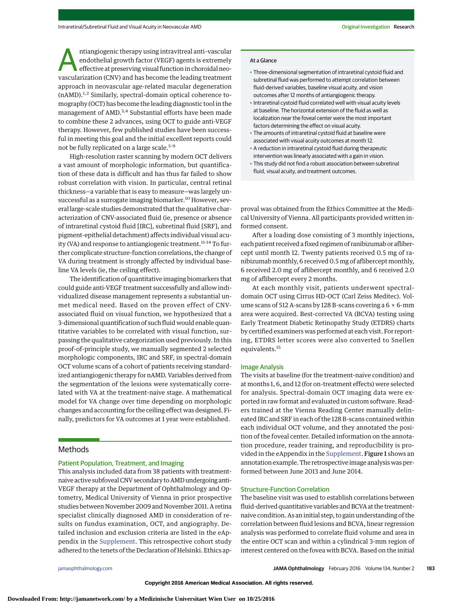Musical anti-vascular<br>
endothelial growth factor (VEGF) agents is extremely<br>
effective at preserving visual function in choroidal neo-<br>
wascularization (CNV) and has become the loading treatment endothelial growth factor (VEGF) agents is extremely effective at preserving visual function in choroidal neovascularization (CNV) and has become the leading treatment approach in neovascular age-related macular degeneration (nAMD).1,2 Similarly, spectral-domain optical coherence tomography (OCT) has become the leading diagnostic tool in the management of AMD.<sup>3,4</sup> Substantial efforts have been made to combine these 2 advances, using OCT to guide anti-VEGF therapy. However, few published studies have been successful in meeting this goal and the initial excellent reports could not be fully replicated on a large scale.<sup>5-9</sup>

High-resolution raster scanning by modern OCT delivers a vast amount of morphologic information, but quantification of these data is difficult and has thus far failed to show robust correlation with vision. In particular, central retinal thickness—a variable that is easy to measure—was largely unsuccessful as a surrogate imaging biomarker.<sup>10</sup> However, several large-scale studies demonstrated that the qualitative characterization of CNV-associated fluid (ie, presence or absence of intraretinal cystoid fluid [IRC], subretinal fluid [SRF], and pigment-epithelial detachment) affects individual visual acuity (VA) and response to antiangiogenic treatment.<sup>11-14</sup> To further complicate structure-function correlations, the change of VA during treatment is strongly affected by individual baseline VA levels (ie, the ceiling effect).

The identification of quantitative imaging biomarkers that could guide anti-VEGF treatment successfully and allow individualized disease management represents a substantial unmet medical need. Based on the proven effect of CNVassociated fluid on visual function, we hypothesized that a 3-dimensional quantification of such fluid would enable quantitative variables to be correlated with visual function, surpassing the qualitative categorization used previously. In this proof-of-principle study, we manually segmented 2 selected morphologic components, IRC and SRF, in spectral-domain OCT volume scans of a cohort of patients receiving standardized antiangiogenic therapy for nAMD. Variables derived from the segmentation of the lesions were systematically correlated with VA at the treatment-naive stage. A mathematical model for VA change over time depending on morphologic changes and accounting for the ceiling effect was designed. Finally, predictors for VA outcomes at 1 year were established.

# Methods

## Patient Population, Treatment, and Imaging

This analysis included data from 38 patients with treatmentnaive active subfoveal CNV secondary to AMD undergoing anti-VEGF therapy at the Department of Ophthalmology and Optometry, Medical University of Vienna in prior prospective studies between November 2009 and November 2011. A retina specialist clinically diagnosed AMD in consideration of results on fundus examination, OCT, and angiography. Detailed inclusion and exclusion criteria are listed in the eAppendix in the [Supplement.](http://jama.jamanetwork.com/article.aspx?doi=10.1001/jamaophthalmol.2015.4948&utm_campaign=articlePDF%26utm_medium=articlePDFlink%26utm_source=articlePDF%26utm_content=jamaophthalmol.2015.4948) This retrospective cohort study adhered to the tenets of the Declaration of Helsinki. Ethics ap-

#### At a Glance

- Three-dimensional segmentation of intraretinal cystoid fluid and subretinal fluid was performed to attempt correlation between fluid-derived variables, baseline visual acuity, and vision outcomes after 12 months of antiangiogenic therapy.
- Intraretinal cystoid fluid correlated well with visual acuity levels at baseline. The horizontal extension of the fluid as well as localization near the foveal center were the most important factors determining the effect on visual acuity.
- The amounts of intraretinal cystoid fluid at baseline were associated with visual acuity outcomes at month 12.
- A reduction in intraretinal cystoid fluid during therapeutic intervention was linearly associated with a gain in vision.
- This study did not find a robust association between subretinal fluid, visual acuity, and treatment outcomes.

proval was obtained from the Ethics Committee at the Medical University of Vienna. All participants provided written informed consent.

After a loading dose consisting of 3 monthly injections, each patient received a fixed regimen of ranibizumab or aflibercept until month 12. Twenty patients received 0.5 mg of ranibizumab monthly, 6 received 0.5 mg of aflibercept monthly, 6 received 2.0 mg of aflibercept monthly, and 6 received 2.0 mg of aflibercept every 2 months.

At each monthly visit, patients underwent spectraldomain OCT using Cirrus HD-OCT (Carl Zeiss Meditec). Volume scans of 512 A-scans by 128 B-scans covering a  $6 \times 6$ -mm area were acquired. Best-corrected VA (BCVA) testing using Early Treatment Diabetic Retinopathy Study (ETDRS) charts by certified examiners was performed at each visit. For reporting, ETDRS letter scores were also converted to Snellen equivalents.<sup>15</sup>

#### Image Analysis

The visits at baseline (for the treatment-naive condition) and at months 1, 6, and 12 (for on-treatment effects) were selected for analysis. Spectral-domain OCT imaging data were exported in raw format and evaluated in custom software. Readers trained at the Vienna Reading Center manually delineated IRC and SRF in each of the 128 B-scans contained within each individual OCT volume, and they annotated the position of the foveal center. Detailed information on the annotation procedure, reader training, and reproducibility is provided in the eAppendix in the [Supplement.](http://jama.jamanetwork.com/article.aspx?doi=10.1001/jamaophthalmol.2015.4948&utm_campaign=articlePDF%26utm_medium=articlePDFlink%26utm_source=articlePDF%26utm_content=jamaophthalmol.2015.4948) Figure 1 shows an annotation example. The retrospective image analysis was performed between June 2013 and June 2014.

## Structure-Function Correlation

The baseline visit was used to establish correlations between fluid-derived quantitative variables and BCVA at the treatmentnaive condition. As an initial step, to gain understanding of the correlation between fluid lesions and BCVA, linear regression analysis was performed to correlate fluid volume and area in the entire OCT scan and within a cylindrical 3-mm region of interest centered on the fovea with BCVA. Based on the initial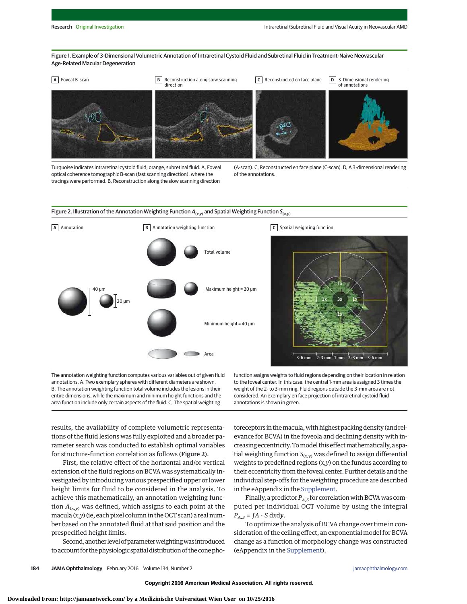Figure 1. Example of 3-Dimensional Volumetric Annotation of Intraretinal Cystoid Fluid and Subretinal Fluid in Treatment-Naive Neovascular Age-Related Macular Degeneration



Turquoise indicates intraretinal cystoid fluid; orange, subretinal fluid. A, Foveal optical coherence tomographic B-scan (fast scanning direction), where the tracings were performed. B, Reconstruction along the slow scanning direction (A-scan). C, Reconstructed en face plane (C-scan). D, A 3-dimensional rendering of the annotations.



The annotation weighting function computes various variables out of given fluid annotations. A, Two exemplary spheres with different diameters are shown. B, The annotation weighting function total volume includes the lesions in their entire dimensions, while the maximum and minimum height functions and the area function include only certain aspects of the fluid. C, The spatial weighting

function assigns weights to fluid regions depending on their location in relation to the foveal center. In this case, the central 1-mm area is assigned 3 times the weight of the 2- to 3-mm ring. Fluid regions outside the 3-mm area are not considered. An exemplary en face projection of intraretinal cystoid fluid annotations is shown in green.

results, the availability of complete volumetric representations of the fluid lesions was fully exploited and a broader parameter search was conducted to establish optimal variables for structure-function correlation as follows (Figure 2).

First, the relative effect of the horizontal and/or vertical extension of the fluid regions on BCVA was systematically investigated by introducing various prespecified upper or lower height limits for fluid to be considered in the analysis. To achieve this mathematically, an annotation weighting function  $A_{(x,y)}$  was defined, which assigns to each point at the macula (*x,y*) (ie, each pixel column in the OCT scan) a real number based on the annotated fluid at that said position and the prespecified height limits.

Second, another level of parameter weighting was introduced to account for the physiologic spatial distribution of the cone photoreceptors in the macula, with highest packing density (and relevance for BCVA) in the foveola and declining density with increasing eccentricity. To model this effect mathematically, a spatial weighting function  $S_{(x,y)}$  was defined to assign differential weights to predefined regions (*x,y*) on the fundus according to their eccentricity from the foveal center. Further details and the individual step-offs for the weighting procedure are described in the eAppendix in the [Supplement.](http://jama.jamanetwork.com/article.aspx?doi=10.1001/jamaophthalmol.2015.4948&utm_campaign=articlePDF%26utm_medium=articlePDFlink%26utm_source=articlePDF%26utm_content=jamaophthalmol.2015.4948)

Finally, a predictor  $P_{A,S}$  for correlation with BCVA was computed per individual OCT volume by using the integral  $P_{A,S}$  =  $\int A \cdot S \, dxdy$ .

To optimize the analysis of BCVA change over time in consideration of the ceiling effect, an exponential model for BCVA change as a function of morphology change was constructed (eAppendix in the [Supplement\)](http://jama.jamanetwork.com/article.aspx?doi=10.1001/jamaophthalmol.2015.4948&utm_campaign=articlePDF%26utm_medium=articlePDFlink%26utm_source=articlePDF%26utm_content=jamaophthalmol.2015.4948).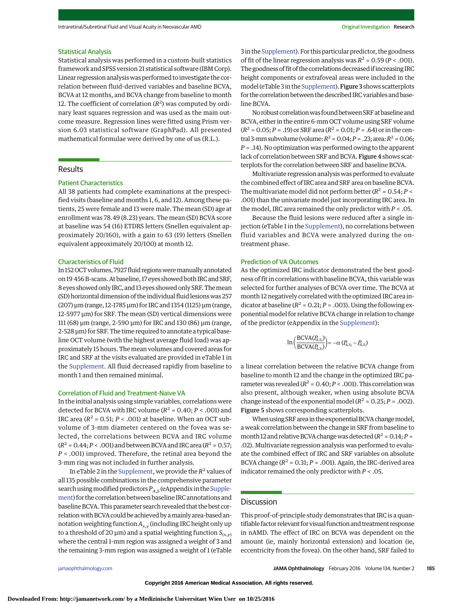#### Statistical Analysis

Statistical analysis was performed in a custom-built statistics framework and SPSS version 21 statistical software (IBM Corp). Linear regression analysiswas performed to investigate the correlation between fluid-derived variables and baseline BCVA, BCVA at 12 months, and BCVA change from baseline to month 12. The coefficient of correlation  $(R^2)$  was computed by ordinary least squares regression and was used as the main outcome measure. Regression lines were fitted using Prism version 6.03 statistical software (GraphPad). All presented mathematical formulae were derived by one of us (R.L.).

# Results

## Patient Characteristics

All 38 patients had complete examinations at the prespecified visits (baseline and months 1, 6, and 12). Among these patients, 25 were female and 13 were male. The mean (SD) age at enrollment was 78.49 (8.23) years. The mean (SD) BCVA score at baseline was 54 (16) ETDRS letters (Snellen equivalent approximately 20/160), with a gain to 63 (19) letters (Snellen equivalent approximately 20/100) at month 12.

#### Characteristics of Fluid

In 152OCT volumes, 7927 fluid regionsweremanually annotated on 19 456B-scans. At baseline, 17 eyes showed both IRC and SRF, 8 eyes showed only IRC, and 13 eyes showed only SRF. Themean (SD) horizontal dimension of the individual fluid lesionswas 257 (207) μm (range, 12-1785 μm) for IRC and 1354 (1125) μm (range, 12-5977 μm) for SRF. The mean (SD) vertical dimensions were 111 (68) μm (range, 2-590 μm) for IRC and 130 (86) μm (range, 2-528 μm) for SRF. The time required to annotate a typical baseline OCT volume (with the highest average fluid load) was approximately 15 hours. Themean volumes and covered areas for IRC and SRF at the visits evaluated are provided in eTable 1 in the [Supplement.](http://jama.jamanetwork.com/article.aspx?doi=10.1001/jamaophthalmol.2015.4948&utm_campaign=articlePDF%26utm_medium=articlePDFlink%26utm_source=articlePDF%26utm_content=jamaophthalmol.2015.4948) All fluid decreased rapidly from baseline to month 1 and then remained minimal.

#### Correlation of Fluid and Treatment-Naive VA

In the initial analysis using simple variables, correlations were detected for BCVA with IRC volume ( $R^2$  = 0.40;  $P <$  .001) and IRC area  $(R^2 = 0.51; P < .001)$  at baseline. When an OCT subvolume of 3-mm diameter centered on the fovea was selected, the correlations between BCVA and IRC volume  $(R^2 = 0.44; P < .001)$  and between BCVA and IRC area ( $R^2 = 0.57;$ *P* < .001) improved. Therefore, the retinal area beyond the 3-mm ring was not included in further analysis.

In eTable 2 in the [Supplement,](http://jama.jamanetwork.com/article.aspx?doi=10.1001/jamaophthalmol.2015.4948&utm_campaign=articlePDF%26utm_medium=articlePDFlink%26utm_source=articlePDF%26utm_content=jamaophthalmol.2015.4948) we provide the *R*<sup>2</sup> values of all 135 possible combinations in the comprehensive parameter search using modified predictors  $P_{A,S}$  (eAppendix in the [Supple](http://jama.jamanetwork.com/article.aspx?doi=10.1001/jamaophthalmol.2015.4948&utm_campaign=articlePDF%26utm_medium=articlePDFlink%26utm_source=articlePDF%26utm_content=jamaophthalmol.2015.4948)[ment\)](http://jama.jamanetwork.com/article.aspx?doi=10.1001/jamaophthalmol.2015.4948&utm_campaign=articlePDF%26utm_medium=articlePDFlink%26utm_source=articlePDF%26utm_content=jamaophthalmol.2015.4948) for the correlation between baseline IRC annotations and baseline BCVA. This parameter search revealed that the best correlation with BCVA could be achieved by a mainly area-based annotation weighting function *Ax*,*<sup>y</sup>* (including IRC height only up to a threshold of 20 μm) and a spatial weighting function  $S$ <sub>(*x,γ*)</sub> where the central 1-mm region was assigned a weight of 3 and the remaining 3-mm region was assigned a weight of 1 (eTable

3 in the [Supplement\)](http://jama.jamanetwork.com/article.aspx?doi=10.1001/jamaophthalmol.2015.4948&utm_campaign=articlePDF%26utm_medium=articlePDFlink%26utm_source=articlePDF%26utm_content=jamaophthalmol.2015.4948). For this particular predictor, the goodness of fit of the linear regression analysis was  $R^2 = 0.59$  ( $P < .001$ ). The goodness of fit of the correlations decreased if increasing IRC height components or extrafoveal areas were included in the model (eTable 3 in the Supplement). Figure 3 shows scatterplots for the correlation between the described IRC variables and baseline BCVA.

No robust correlation was found between SRF at baseline and BCVA, either in the entire 6-mm OCT volume using SRF volume  $(R^2 = 0.05; P = .19)$  or SRF area  $(R^2 = 0.01; P = .64)$  or in the central 3-mm subvolume (volume:  $R^2$  = 0.04;  $P = .23$ ; area:  $R^2$  = 0.06; *P* = .14). No optimization was performed owing to the apparent lack of correlation between SRF and BCVA. Figure 4 shows scatterplots for the correlation between SRF and baseline BCVA.

Multivariate regression analysis was performed to evaluate the combined effect of IRC area and SRF area on baseline BCVA. The multivariate model did not perform better  $(R^2 = 0.54; P <$ .001) than the univariate model just incorporating IRC area. In the model, IRC area remained the only predictor with *P* < .05.

Because the fluid lesions were reduced after a single injection (eTable 1 in the [Supplement\)](http://jama.jamanetwork.com/article.aspx?doi=10.1001/jamaophthalmol.2015.4948&utm_campaign=articlePDF%26utm_medium=articlePDFlink%26utm_source=articlePDF%26utm_content=jamaophthalmol.2015.4948), no correlations between fluid variables and BCVA were analyzed during the ontreatment phase.

## Prediction of VA Outcomes

As the optimized IRC indicator demonstrated the best goodness of fit in correlations with baseline BCVA, this variable was selected for further analyses of BCVA over time. The BCVA at month 12 negatively correlated with the optimized IRC area indicator at baseline ( $R^2$  = 0.21;  $P$  = .003). Using the following exponential model for relative BCVA change in relation to change of the predictor (eAppendix in the [Supplement\)](http://jama.jamanetwork.com/article.aspx?doi=10.1001/jamaophthalmol.2015.4948&utm_campaign=articlePDF%26utm_medium=articlePDFlink%26utm_source=articlePDF%26utm_content=jamaophthalmol.2015.4948):

$$
\ln\left(\frac{\text{BCVA}(P_{A,S_2})}{\text{BCVA}(P_{A,S_1})}\right) = -\alpha (P_{A,S_2} - P_{A,S_1})
$$

a linear correlation between the relative BCVA change from baseline to month 12 and the change in the optimized IRC parameter was revealed ( $R^2$  = 0.40;  $P <$  .001). This correlation was also present, although weaker, when using absolute BCVA change instead of the exponential model ( $R^2$  = 0.25;  $P$  = .002). Figure 5 shows corresponding scatterplots.

When using SRF area in the exponential BCVA change model, a weak correlation between the change in SRF from baseline to month 12 and relative BCVA change was detected ( $R^2$  = 0.14;  $P$  = .02). Multivariate regression analysis was performed to evaluate the combined effect of IRC and SRF variables on absolute BCVA change  $(R^2 = 0.31; P = .001)$ . Again, the IRC-derived area indicator remained the only predictor with *P* < .05.

## **Discussion**

This proof-of-principle study demonstrates that IRC is a quantifiable factor relevant for visual function and treatment response in nAMD. The effect of IRC on BCVA was dependent on the amount (ie, mainly horizontal extension) and location (ie, eccentricity from the fovea). On the other hand, SRF failed to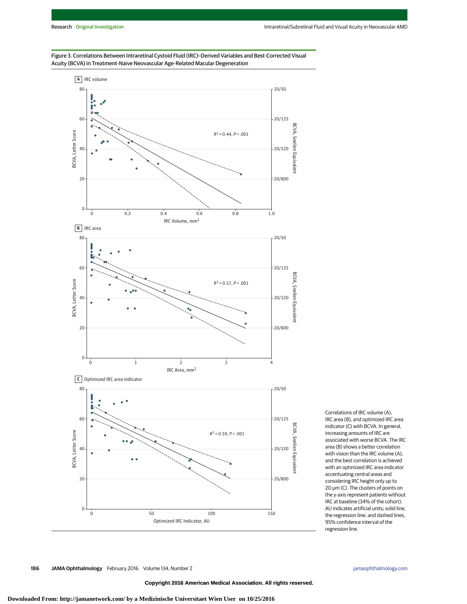

Figure 3. Correlations Between Intraretinal Cystoid Fluid (IRC)–Derived Variables and Best-Corrected Visual Acuity (BCVA) in Treatment-Naive Neovascular Age-Related Macular Degeneration

> Correlations of IRC volume (A), IRC area (B), and optimized IRC area indicator (C) with BCVA. In general, increasing amounts of IRC are associated with worse BCVA. The IRC area (B) shows a better correlation with vision than the IRC volume (A), and the best correlation is achieved with an optimized IRC area indicator accentuating central areas and considering IRC height only up to 20 μm (C). The clusters of points on the y-axis represent patients without IRC at baseline (34% of the cohort). AU indicates artificial units; solid line, the regression line; and dashed lines, 95% confidence interval of the regression line.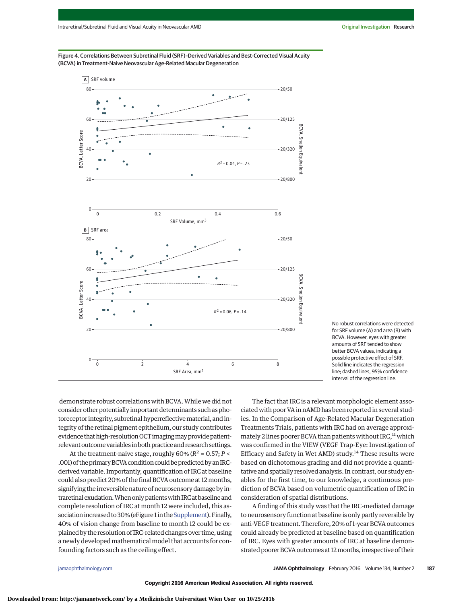



No robust correlations were detected for SRF volume (A) and area (B) with BCVA. However, eyes with greater amounts of SRF tended to show better BCVA values, indicating a possible protective effect of SRF. Solid line indicates the regression line; dashed lines, 95% confidence interval of the regression line.

demonstrate robust correlations with BCVA.While we did not consider other potentially important determinants such as photoreceptor integrity, subretinal hyperreflective material, and integrity of the retinal pigment epithelium, our study contributes evidence that high-resolution OCT imaging may provide patientrelevant outcome variables in both practice and research settings.

At the treatment-naive stage, roughly  $60\%$  ( $R^2 = 0.57$ ;  $P <$ .001) of the primary BCVA condition could be predicted by an IRCderived variable. Importantly, quantification of IRC at baseline could also predict 20% of the final BCVA outcome at 12 months, signifying the irreversible nature of neurosensory damage by intraretinal exudation.Whenonlypatientswith IRC atbaseline and complete resolution of IRC at month 12 were included, this as-sociation increased to 30% (eFigure 1 in the [Supplement\)](http://jama.jamanetwork.com/article.aspx?doi=10.1001/jamaophthalmol.2015.4948&utm_campaign=articlePDF%26utm_medium=articlePDFlink%26utm_source=articlePDF%26utm_content=jamaophthalmol.2015.4948). Finally, 40% of vision change from baseline to month 12 could be explained by the resolution of IRC-related changes over time, using a newly developed mathematical model that accounts for confounding factors such as the ceiling effect.

The fact that IRC is a relevant morphologic element associated with poor VA in nAMD has been reported in several studies. In the Comparison of Age-Related Macular Degeneration Treatments Trials, patients with IRC had on average approximately 2 lines poorer BCVA than patients without IRC,<sup>11</sup> which was confirmed in the VIEW (VEGF Trap-Eye: Investigation of Efficacy and Safety in Wet AMD) study.<sup>14</sup> These results were based on dichotomous grading and did not provide a quantitative and spatially resolved analysis. In contrast, our study enables for the first time, to our knowledge, a continuous prediction of BCVA based on volumetric quantification of IRC in consideration of spatial distributions.

A finding of this study was that the IRC-mediated damage to neurosensory function at baseline is only partly reversible by anti-VEGF treatment. Therefore, 20% of 1-year BCVA outcomes could already be predicted at baseline based on quantification of IRC. Eyes with greater amounts of IRC at baseline demonstrated poorer BCVA outcomes at 12 months, irrespective of their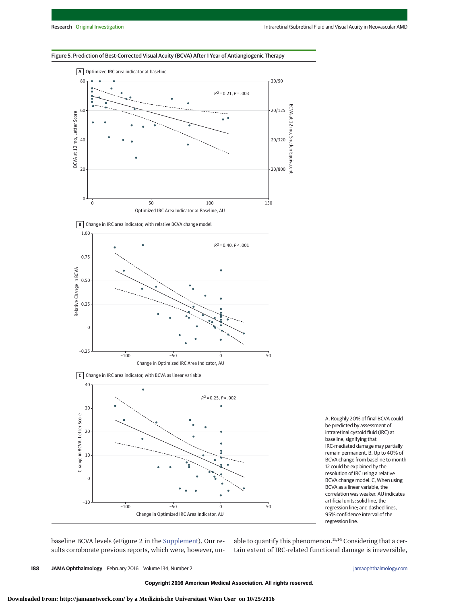## Figure 5. Prediction of Best-Corrected Visual Acuity (BCVA) After 1 Year of Antiangiogenic Therapy







A, Roughly 20% of final BCVA could be predicted by assessment of intraretinal cystoid fluid (IRC) at baseline, signifying that IRC-mediated damage may partially remain permanent. B, Up to 40% of BCVA change from baseline to month 12 could be explained by the resolution of IRC using a relative BCVA change model. C, When using BCVA as a linear variable, the correlation was weaker. AU indicates artificial units; solid line, the regression line; and dashed lines, 95% confidence interval of the regression line.

baseline BCVA levels (eFigure 2 in the [Supplement\)](http://jama.jamanetwork.com/article.aspx?doi=10.1001/jamaophthalmol.2015.4948&utm_campaign=articlePDF%26utm_medium=articlePDFlink%26utm_source=articlePDF%26utm_content=jamaophthalmol.2015.4948). Our results corroborate previous reports, which were, however, un-

able to quantify this phenomenon. $11,14$  Considering that a certain extent of IRC-related functional damage is irreversible,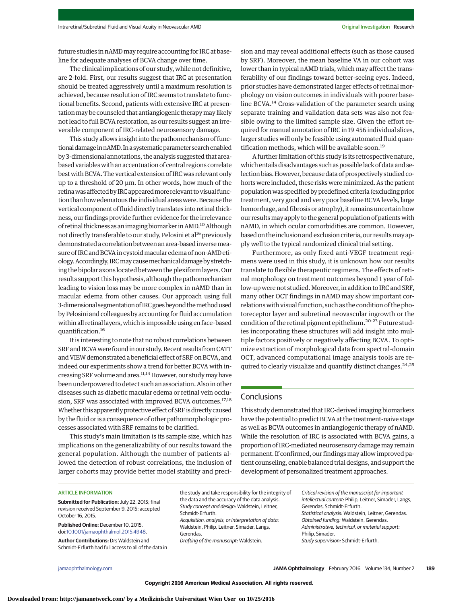future studies in nAMD may require accounting for IRC at baseline for adequate analyses of BCVA change over time.

The clinical implications of our study, while not definitive, are 2-fold. First, our results suggest that IRC at presentation should be treated aggressively until a maximum resolution is achieved, because resolution of IRC seems to translate to functional benefits. Second, patients with extensive IRC at presentation may be counseled that antiangiogenic therapy may likely not lead to full BCVA restoration, as our results suggest an irreversible component of IRC-related neurosensory damage.

This study allows insight into the pathomechanism of functional damage in nAMD. In a systematic parameter search enabled by 3-dimensional annotations, the analysis suggested that areabased variableswith an accentuation of central regions correlate best with BCVA. The vertical extension of IRC was relevant only up to a threshold of 20 μm. In other words, how much of the retina was affected by IRC appeared more relevant to visual function than how edematous the individual areas were. Because the vertical component of fluid directly translates into retinal thickness, our findings provide further evidence for the irrelevance of retinal thickness as an imaging biomarker in AMD.<sup>10</sup> Although not directly transferable to our study, Pelosini et al<sup>16</sup> previously demonstrated a correlation between an area-based inversemeasure of IRC and BCVA in cystoidmacular edema of non-AMD etiology.Accordingly, IRCmaycausemechanicaldamagebystretching the bipolar axons located between the plexiform layers. Our results support this hypothesis, although the pathomechanism leading to vision loss may be more complex in nAMD than in macular edema from other causes. Our approach using full 3-dimensional segmentation of IRC goes beyond the method used by Pelosini and colleagues by accounting for fluid accumulation within all retinal layers, which is impossible using en face-based quantification.16

It is interesting to note that no robust correlations between SRF and BCVA were found in our study. Recent results from CATT and VIEW demonstrated a beneficial effect of SRF on BCVA, and indeed our experiments show a trend for better BCVA with increasing SRF volume and area.<sup>11,14</sup> However, our study may have been underpowered to detect such an association. Also in other diseases such as diabetic macular edema or retinal vein occlusion, SRF was associated with improved BCVA outcomes.<sup>17,18</sup> Whether this apparently protective effect of SRF is directly caused by the fluid or is a consequence of other pathomorphologic processes associated with SRF remains to be clarified.

This study's main limitation is its sample size, which has implications on the generalizability of our results toward the general population. Although the number of patients allowed the detection of robust correlations, the inclusion of larger cohorts may provide better model stability and precision and may reveal additional effects (such as those caused by SRF). Moreover, the mean baseline VA in our cohort was lower than in typical nAMD trials, which may affect the transferability of our findings toward better-seeing eyes. Indeed, prior studies have demonstrated larger effects of retinal morphology on vision outcomes in individuals with poorer baseline BCVA.<sup>14</sup> Cross-validation of the parameter search using separate training and validation data sets was also not feasible owing to the limited sample size. Given the effort required formanual annotation of IRC in 19 456 individual slices, larger studies will only be feasible using automated fluid quantification methods, which will be available soon.<sup>19</sup>

A further limitation of this study is its retrospective nature, which entails disadvantages such as possible lack of data and selection bias. However, because data of prospectively studied cohorts were included, these risks were minimized. As the patient population was specified by predefined criteria (excluding prior treatment, very good and very poor baseline BCVA levels, large hemorrhage, and fibrosis or atrophy), it remains uncertain how our results may apply to the general population of patients with nAMD, in which ocular comorbidities are common. However, based on the inclusion and exclusion criteria, our resultsmay apply well to the typical randomized clinical trial setting.

Furthermore, as only fixed anti-VEGF treatment regimens were used in this study, it is unknown how our results translate to flexible therapeutic regimens. The effects of retinal morphology on treatment outcomes beyond 1 year of follow-up were not studied.Moreover, in addition to IRC and SRF, many other OCT findings in nAMD may show important correlations with visual function, such as the condition of the photoreceptor layer and subretinal neovascular ingrowth or the condition of the retinal pigment epithelium.<sup>20-23</sup> Future studies incorporating these structures will add insight into multiple factors positively or negatively affecting BCVA. To optimize extraction of morphological data from spectral-domain OCT, advanced computational image analysis tools are required to clearly visualize and quantify distinct changes.<sup>24,25</sup>

# **Conclusions**

This study demonstrated that IRC-derived imaging biomarkers have the potential to predict BCVA at the treatment-naive stage as well as BCVA outcomes in antiangiogenic therapy of nAMD. While the resolution of IRC is associated with BCVA gains, a proportion of IRC-mediated neurosensory damage may remain permanent. If confirmed, our findings may allow improved patient counseling, enable balanced trial designs, and support the development of personalized treatment approaches.

#### ARTICLE INFORMATION

**Submitted for Publication:** July 22, 2015; final revision received September 9, 2015; accepted October 16, 2015.

**Published Online:** December 10, 2015. doi[:10.1001/jamaophthalmol.2015.4948.](http://jama.jamanetwork.com/article.aspx?doi=10.1001/jamaophthalmol.2015.4948&utm_campaign=articlePDF%26utm_medium=articlePDFlink%26utm_source=articlePDF%26utm_content=jamaophthalmol.2015.4948)

**Author Contributions:** Drs Waldstein and Schmidt-Erfurth had full access to all of the data in

the study and take responsibility for the integrity of the data and the accuracy of the data analysis. Study concept and design: Waldstein, Leitner, Schmidt-Erfurth. Acquisition, analysis, or interpretation of data: Waldstein, Philip, Leitner, Simader, Langs, Gerendas. Drafting of the manuscript: Waldstein.

Critical revision of the manuscript for important intellectual content: Philip, Leitner, Simader, Langs, Gerendas, Schmidt-Erfurth. Statistical analysis: Waldstein, Leitner, Gerendas. Obtained funding: Waldstein, Gerendas. Administrative, technical, or material support: Philip, Simader. Study supervision: Schmidt-Erfurth.